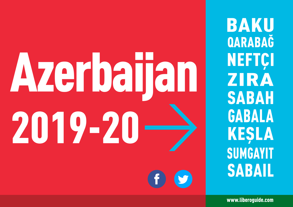# Azerbaijan 2019-20

**BAKU** QARABAĞ **NEFTCI** ZIRA **SABAH GABALA KEŞLA SUMGAYIT SABAIL** 

www.liberoguide.com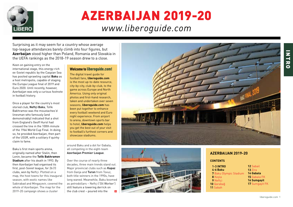

# AZERBAIJAN 2019-20 *www.liberoguide.com*

Surprising as it may seem for a country whose average top-league attendances barely climb into four figures, but **Azerbaijan** stood higher than Poland, Romania and Slovakia in the UEFA rankings as the 2018-19 season drew to a close.

Keen on gaining entry on the international stage, this energy-rich ex-Soviet republic by the Caspian Sea has posited sprawling capital **Baku** as a host metropolis, capable of staging the Europa League final of 2019 and Euro 2020. Until recently, however, Azerbaijan was only a curious footnote in football history.

Once a player for the country's most storied club, **Neftçi Baku**, Tofik Bakhramov was the moustacheo'd linesman who famously (and demonstrably) indicated that a shot from England's Geoff Hurst had crossed the line in the 100th minute of the 1966 World Cup Final. In doing so, he provided Azerbaijan, then part of the USSR, with a solitary if quirky claim to fame.

Baku's first main sports arena, originally named after Stalin, then Lenin, became the **Tofik Bakhramov Stadium** after his death in 1993. By then Azerbaijan had organised its first, post-Soviet league, for 26 (!) clubs, won by Neftci. Plotted on a map, the host towns for this inaugural season, with exotic names like Sabirabad and Mingaçevir, covered the whole of Azerbaijan. The map for the 2019-20 campaign shows a cluster

### Welcome to [liberoguide.com!](http://www.liberoguide.com)

The digital travel guide for football fans, **liberoguide.com** is the most up-to-date resource, city-by-city, club-by-club, to the game across Europe and North America. Using only original photos and first-hand research, taken and undertaken over seven seasons, **liberoguide.com** has been put together to enhance every football weekend and Euro night experience. From airport to arena, downtown sports bar to hotel, **liberoguide.com** helps you get the best out of your visit to football's furthest corners and showcase stadiums.

around Baku and a dot for Gabala, all competing in the eight-team **Azerbaijan Premier League**.

Over the course of nearly three decades, three main trends stand out. Major provincial clubs such as **Kapaz** from Ganja and **Turan** from Tovuz, both title-winners in the 1990s, have long waned. Meanwhile, Baku boomed as petrodollars – Neftçi ('Oil Worker') still feature a towering derrick on the club crest – poured into the





### **AZERBAIJAN 2019-20**

**CONTENTS**

| <b>1-3 INTRO</b>       | <b>12 Sabail</b>   |
|------------------------|--------------------|
| 4-6 Baku               | 13 Zira            |
| 7 Baku Olympic Stadium | 14 Gabala          |
| 8 Kesla                | 15 Gabala FK       |
| 9 Neftçi               | <b>16 Sumgayit</b> |
| 10 Qarabağ             | 17 Sumgayit FK     |
| 11 Sabah               |                    |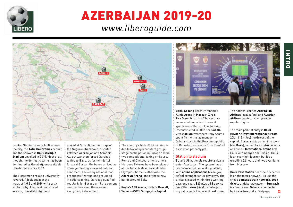

# AZERBAIJAN 2019-20

# *www.liberoguide.com*



capital. Stadiums were built across the city, the **Tofik Bakhramov** rebuilt and the showcase **Baku Olympic Stadium** unveiled in 2015. Most of all, though, the domestic game has been dominated by **Qarabağ**, unassailable title-holders since 2014.

The Horsemen are also universally revered. A look again at the maps of 1992 and 2019 will partly explain why. That first post-Soviet season, 'Karabakh Aghdam'

played at Quzanli, on the fringe of the Nagorno-Karabakh, disputed between Azerbaijan and Armenia. All-out war then forced Qarabağ to flee to Baku, as former Neftçi forward Gurban Gurbanov arrived as manager. Riding a wave of national sentiment, backed by national food producers Azersun and grounded in solid coaching, Qarabağ qualified regularly for Europe until the current run that has seen them sweep everything before them.

The country's high UEFA ranking is due to Qarabağ's constant groupstage participation in Europe's main two competitions, taking on Spurs, Roma and Chelsea, among others. Marquee fixtures have been played at the Tofik Bakhramov and Baku Olympic – home is otherwise the **Azersun Arena**, one of those newbuilds around Baku.

**Keşla's ASK Arena**, Neftçi's **Bakcell**, **Sabail's ASCO**, **Sumgayit's Kapital** 



**Bank**, **Sabah's** recently renamed **Alinja Arena** in **Masazir**, **Zira's Zira Olympic**, all are 21st-century venues holding a few thousand spectators within or close to Baku. Reconstructed in 2012, the **Gabala City Stadium** was where Tony Adams spent 16 months as manager in Gabala, close to the Russian republic of Dagestan, as remote from Romford as you can probably get.

#### **Station to stadium**

EU and US nationals require a visa to enter Azerbaijan. The system has at last been simplified and digitalised, with **online applications** (evisa.gov. az/en) arranged for 30-day stays. The e-visa is issued within three working days and costs \$20 plus a \$3 service fee. Other **visas** (visaforazerbaijan. org.uk) require longer and cost more.

The national carrier, **Azerbaijan Airlines** (azal.az/en), and **Austrian Airlines** (austrian.com) provide regular flights.

The main point of entry is **Baku Heydar Aliyev International Airport**, 20km (12 miles) north-east of the capital. Buses and taxis run into town (*see* **Baku**), served by a metro network and buses. **International trains** link Baku with Georgia and Russia. Tbilisi is an overnight journey, but it's a gruelling 52 hours and two overnights from Moscow.

**Baku Pass station** near the city centre is on the metro network. To use the cheap **domestic train network**, **book tickets** at ticket.ady.az/en – **Sumgayit** is 40min away. **Gabala** is connected by **bus** (avtovagzal.az/en/page/  $\rightarrow$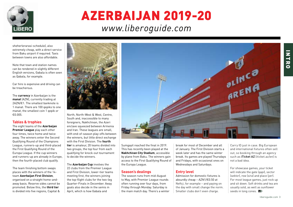

# AZERBAIJAN 2019-20

# *www.liberoguide.com*

sheherlerarasi-schedule), also extremely cheap, with a direct service from Baku airport if required. Taxis between towns are also affordable.

Note that town and station names can be rendered in slightly different English versions, Gabala is often seen as Qabala, for example.

Car hire is expensive and driving can be treacherous.

The **currency** in Azerbaijan is the **manat** (AZN), currently trading at 2AZN/€1. The smallest banknote is 1 manat. There are 100 qepiks to one manat, the smallest coin 1 qepik or €0.005.

### **Tables & trophies**

The eight teams of the **Azerbaijan Premier League** play each other four times, twice home and twice away. The winners enter the Second Qualifying Round of the Champions League, runners-up and third-placed the First Qualifying Round of the Europa League. If the cup winners and runners-up are already in Europe, then the fourth-placed club qualify.

The team finishing bottom swaps places with the winners of the 14 team **Azerbaijan First Division**, organised on a straight home-andaway basis. Reserve sides cannot be promoted. Below this, the **third tier** is divided into five regions, Capital &



North, North-West & West, Centre, South and, inaccessible to many foreigners, Nakhchivan, the Azeri enclave squeezed between Armenia and Iran. These leagues are small, with end-of-season play-offs between the winners, but little direct exchange with the First Division. The **fourth tier** is amateur, 20 teams divided into two groups, the top four from each qualifying for knock-out tournament to decide the winners.

The **Azerbaijan Cup** involves the 22 clubs from the Premier League and First Division, lower-tier teams meeting first, the winners joining the top-flight clubs for the two-leg Quarter-Finals in December. Away goals also decide in the semis in April, which is how Gabala and



Sumgayit reached the final in 2019. This has recently been played at the **Nakhchivan City Stadium**, accessible by plane from Baku. The winners gain access to the First Qualifying Round of the Europa League.

### **Season's dealings**

The season runs from mid-August to May, with Premier League rounds often running over four days, from Friday through Monday. Saturday is the main match day. There's a winter break for most of December and all of January. The First Division starts a week later and has the same winter break. Its games are played Thursdays and Fridays, with occasional ones on Wednesdays and Saturdays.

### **Entry level**

Admission for domestic fixtures is absurdly cheap – AZN1/€0.50 at Neftci, for example – and paying on the day with small change the norm. Smaller clubs don't even charge.

Carry ID just in case. Big European and international fixtures often sell out, so booking through an agency such as **iTicket AZ** (iticket.az/en) is not a bad idea.

For showcase games, your ticket will indicate the gate (*qapi*), sector (*sektor*), row (*sira*) and place (*yer*). For most league games, just rock up and sit down. Soft drinks and tea are usually sold, as well as sunflower seeds in long cones. **LO**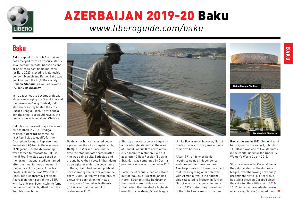<span id="page-4-0"></span>

# AZERBAIJAN 2019-20 Baku *[www.liberoguide.com/b](http://www.liberoguide.com/baku)aku*

### Baku

**Baku**, capital of oil-rich Azerbaijan, has emerged from its obscure status as a football footnote. Chosen as one of 12 cities to host finals matches for Euro 2020, elevating it alongside London, Munich and Rome, Baku was quick to build the 68,000-capacity **Olympic Stadium**, as well as revamp the **Tofik Bakhramov**.

In its eagerness to become a global showcase, staging the Grand Prix and the Eurovision Song Contest, Baku also successfully hosted the 2019 Europa League Final. As fate and a penalty shoot-out would have it, the finalists were Arsenal and Chelsea.

Baku first witnessed major European club football in 2017. Prodigal residents **Qarabağ** became the first Azeri club to qualify for the Champions League. Representing devastated **Ağdam** in the war zone of Nagorno-Karabakh, Qarabağ were forced to relocate to Baku in the 1990s. The club was based at the former national stadium named after the most famous linesman in the history of the game. After his pivotal role in the 1966 World Cup Final, Tofik Bakhramov provided Azerbaijan, then part of the USSR, with its only pre-boom claim to fame on the football pitch, albeit from the Wembley touchline.



Bakhramov himself started out as a player for the city's flagship club, **Neftçi** ('Oil Worker'), around the time the stadium later named after him was being built. Both club and ground have their roots in Stalinism; as an agitator under the code name of Koba, Stalin had caused political unrest among the oil workers in the early 1900s. Neftci, who still feature a towering derrick on their club crest, were founded as Neftyanik ('Oil Worker') at the height of Stalinism in 1937.

Shortly afterwards, work began on a Soviet-style stadium in the area of Ganclik, about 1km north of the city's main train station. Laid out as a letter C (ie a Russian 'S', as in Stalin), it was completed by German prisoners of war and opened in 1951.

Each Soviet republic had one standout football club – Azerbaijan had Neftçi. Strangely, like Bakhramov, their most memorable year was 1966, when they finished a highestever third in a strong Soviet league.

Unlike Bakhramov, however, Neftçi made no mark on the game outside their own borders.

After 1991, all former Soviet republics gained independence and created their own leagues. Azerbaijan was no different – except that it was fighting a terrible war with Armenia. While the national side relocated to Trabzon in Turkey, Neftci won the inaugural domestic title in 1992. Later, they moved out of the Tofik Bakhramov to the new



Baku Olympic Stadium

**Bakcell Arena** in 2012. Set in Nizami halfway out to the airport, it holds 11,000 and was one of five stadiums in the capital used for the Under-17 Women's World Cup in 2012.

Shortly afterwards, Qarabağ began their domination of the domestic league, overshadowing previously preeminent Neftci. No Azeri club has laid a glove on Qarabağ since they started their title run in 2013- 14. Riding an unprecedented wave of success, Qarabağ opened their  $\rightarrow$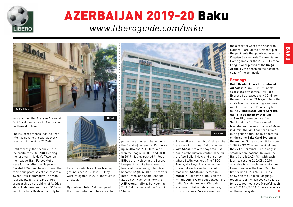

# AZERBAIJAN 2019-20 Baku *[www.liberoguide.com/b](http://www.liberoguide.com/baku)aku*



own stadium, the **Azersun Arena**, at Yeni Surakhani, close to Baku airport north-east of town.

Their success means that the Azeri title has gone to the capital every season but one since 2003-04.

Until recently, the second club in the capital was **FC Baku**. Bearing the landmark Maiden's Tower on their badge, Baki Futbol Klubu were formed after the Nagorno-Karabakh War and have suffered the capricious promises of controversial owner Hafiz Mammadov. The man responsible for the 'Land of Fire' sponsorship on the shirts of Atlético Madrid, Mammadov moved FC Baku out of the Tofik Bakhramov, only to



have the club play at their training ground since 2012. In 2015, they were relegated. In 2016, they turned amateur.

By contrast, **Inter Baku** eclipsed  $\frac{1}{2}$  the other clubs from the capital to



put in the strongest challenge to the Qarabağ hegemony. Runnersup in 2014 and 2015, Inter also won the league in 2008 and 2010. In 2015-16, they pushed Athletic Bilbao pretty close in the Europa League. Against a background of financial uncertainty, Inter Baku became **Keşla** in 2017. The former Inter Arena (and Shafa Stadium, also an U-17 venue) is now the **ASK Arena**, halfway between the Tofik Bakhramov and the Olympic Stadium.

Three other current top-flights clubs are based in or near Baku, starting with **Sabail**, from the bay area just south of the historic centre, base for the Azerbaijani Navy and the prison where Stalin was kept. The **ASCO Arena**, aka Bayil Arena, is further down but easily reached by public transport. **Sabah** are located in **Masazir**, just north of Baku on the M1, the **Alinja Arena** set between the nation's main brewery, Khirdalan, and most notable natural feature, mud volcanoes. **Zira** are way past

National Park, at the furthest tip of the peninsula that points out over the Caspian Sea towards Turkmenistan. Home games for the 2017-18 Europa League were played at the **Dalga Arena**, by the beach on the northern coast of the peninsula.

the airport, towards the Absheron

### **Bearings**

**Baku Heydar Aliyev International Airport** is 20km (12 miles) northeast of the city centre. The Aero Express bus leaves every 30min for the metro station **28 Maya**, where the city's two main red and green lines meet. From there, it's an easy hop to the **Olympic Stadium** at **Koroglu**, the **Tofik Bakhramov Stadium** 

at **Ganclik**, downtown seafront **Sahil** and the Old Town stop of **Içerisheher**.Journey time to 28 Maya is 30min, though it can take 45min during rush hour. The bus operates on the same **Baku Card System** as the **metro.** At the airport, tickets cost 1.50AZN/€0.75 from the kiosk near the exit of Terminal 1, cash only, in small denominations. In town, the Baku Card is 2AZN/€1, with each journey costing 0.20AZN/€0.10, available from machines at stations. Even cheaper is the Baku Card for limited use (0.20AZN/€0.10, as shown on the English-language touch screen), which you can charge for up to four journeys (4 *gedis*), each one 0.20AZN/€0.10. Buses also work on the same system.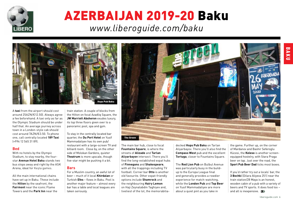

# AZERBAIJAN 2019-20 Baku

*[www.liberoguide.com/b](http://www.liberoguide.com/baku)aku*



A **taxi** from the airport should cost around 25AZN/€12.50). Always agree a fee beforehand. A taxi only as far as the Olympic Stadium should be under half that. An average journey across town in a London-style cab should cost around 7AZN/€3.50. To phone one, call centrally located **189 Taxi** (+994 12 565 31 89).

#### **Bed**

With no hotels by the Olympic Stadium, to stay nearby, the fourstar **Avenue Hotel Baku** stands two bus stops away and right by the ASK Arena, ideal for Keşla games.

All the main international chains have set up in Baku. These include the **Hilton** by the seafront, the **Fairmont** near the iconic Flame Towers and the **Park Inn** near the

train station. A couple of blocks from the Hilton on focal Azadliq Square, the **JW Marriott Absheron** exudes luxury, its top three floors given over to a panoramic pool, spa and gym.

To stay in the centrally located bar quarter, the **Du Port Hotel** on Yusif Mammadaliyev has its own pub/ restaurant with a large-screen TV and billiard room. Close by, on the other side of Molokan Gardens, quieter **Theatrum** is more upscale, though five-star might be pushing it a bit.

#### **Bars**

For a Muslim country, an awful lot of beer – much of it local **Khirdalan** or Turkish **Efes** – flows in Baku. Pool is another major feature – almost every bar has a table and local leagues are taken seriously.



The main bar hub, close to focal **Fountains Square**, is where the streets of **Alizade** and **Tarlan Aliyarbayov** intersect. There you'll find the long-established expat hubs of **Finnegans** and **Shakespeare**, with all the trappings including TV football. Corner bar **Otto** is another old favourite. Other expat-friendly options include **Shamrock** and the neighbouring **Hairy Lemon** on Haji Zeynalabdin Taghiyev and,  $\frac{1}{2}$  liveliest of the lot, the memorabiliadecked **Hops Pub Baku** on Tarlan Aliyarbayov. There you'll also find the **Compass West** pub and the excellent **Tortuga**, closer to Fountains Square.

The **Red Lion Pub** on Bulbul Avenue was particularly busy in the buildup to the Europa League final and generally provides a rowdier experience for match-watching, while the **London Pub** and **[Top Beer](http://www.topbeer.az/)** on Yusif Mammadaliyev are more about a quiet pint as you take in

the game. Further up, on the corner of Mardanov and Bashir Seferoglu Kücesi, the **Koleso** is another screenequipped hostelry, with Stara Praga beer on tap. Just over the road, the **[Sport Pub Beer Dad](https://www.facebook.com/beerdadbaku/)** ticks most boxes.

If you'd rather try out a locals' bar, the **3 Bochki** (Dilara Aliyeva 251) near the train station/28 Maya is an honest, wooden cabin of a pub with a variety of beers and TV sports. It does food too – and all is inexpensive.  $\Box$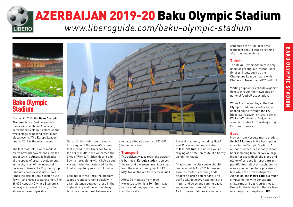<span id="page-7-0"></span>

# AZERBAIJAN 2019-20 Baku Olympic Stadium

*[www.liberoguide.com/](http://www.liberoguide.com/baku-olympic-stadium )baku-olympic-stadium* 



### Baku Olympic **Stadium**

Opened in 2015, the **Baku Olympic Stadium** (bos.az/en) personifies the oil-rich capital of Azerbaijan, determined to claim its place on the world stage by hosting prestigious global events. The Europa League final of 2019 is the most recent.

The fact that Baku's once modest metro network now extends this far out of town is almost as indicative of the speed of urban development in the city. Host of the inaugural European Games of 2015, the Olympic Stadium covers a vast site – three times the size of Baku's historic Old Town – and rises six storeys high. The 68,000-capacity Olympic Stadium is set way north-east of town, by the shores of Lake Boyukshor.



Qarabağ, the club from the wartorn region of Nagorno-Karabakh that moved to the Azeri capital in the early 1990s, have welcomed the likes of Roma, Atlético Madrid and Sevilla here, along with Chelsea and Arsenal, who then returned for that final a long, long way from London.

Laid out in three tiers, the stadium loops around a running track with a fair distance between those in the highest ring and the action. Away fans for international fixtures are

usually allocated sectors 307-309 behind one end.

### **Transport**

The quickest way to reach the stadium is by metro. **Koroglu station** is on both the red and the green lines, four stops from the main crossing point of **28 May**, five on the red from central **Sahil**.

Allow 20 minutes from town. Koroglu station is a 10-15min walk to the stadium, approaching the south-west exit.

Several bus lines, including **Nos.1**  and **13**, serve the nearest stop of **Milli Stadion**, but unless you're staying at a hotel en route, it's hardly worth the hassle.

A **taxi** from the city centre should cost around 12AZN/€6 but make sure the meter is running and/ or agree a price beforehand. The traffic will be heavy heading to the match and atrocious coming back, so, again, metro might be best. As European matches are usually

scheduled for 2100 local time, transport should still be running after the final whistle.

### **Tickets**

The Baku Olympic Stadium is only used for prestigious international fixtures. Many, such as the Champions League fixture with Chelsea in November 2017, sell out.

Visiting supporters should organise tickets through their own club or national football association.

When Azerbaijan play at the Baku Olympic Stadium, tickets can be booked online through the **FA** (tickets.affa.az/en) or local agency **iTicket AZ** (iticket.az/en), which also distributes for Qarabağ's major European games.

### **Bars**

Metres from Koroglu metro station, the **MAF Lounge** is the best option close to the Olympic Stadium. An outdoor terrace, reasonably cheap beer including local brews, a large indoor space with shisha pipes and plenty of screens for sport attract plentiful footfall pre-match, but it's also a good option for a post-match bite while the crowds disperse. Alongside, the **Metro café** is a much simpler option with sensational shawarma and basic street food. Beers fill the fridge but there's less of a bar/pub atmosphere.  $\Box$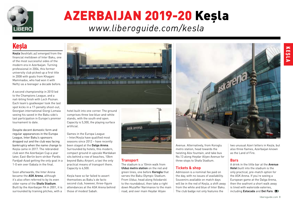<span id="page-8-0"></span>

# AZERBAIJAN 2019-20 Keşla

# *[www.liberoguide.com/kesla](http://www.liberoguide.com/kesla)*

### **Kesla**

**Keşla** (keshlafc.az) emerged from the financial meltdown of Inter Baku, one of the most successful sides of the modern era in Azerbaijan. Turning professional in 2004, this former university club picked up a first title in 2008 with goals from Khagani Mammadov, who had won it with Neftci as a teenager a decade before.

A second championship in 2010 led to the Champions League, and a nail-biting finish with Lech Poznan. Each team's goalkeeper took the last spot kicks in a 17-penalty shoot-out, Georgian international Giorgi Lomaia seeing his saved in the Baku side's last participation in Europe's premier tournament to date.

Despite decent domestic form and regular appearances in the Europa League, Inter Baku's sponsors dropped out and the club was facing bankruptcy when the name change to Keşla came in 2017. The rebranded club won the Azerbaijan Cup a year later, East-Berlin born striker Pardis Fardjad-Azad getting the only goal in a 1-0 win over Gabala in the final.

Soon afterwards, the Inter Arena became the **ASK Arena**, although it's also often referred to by its even older name of the **Shafa Stadium**. Built by the Azerbaijan FA in 2001, it is surrounded by training pitches, with a



hotel built into one corner. The ground comprises three low blue-and-white stands, with the south end open. Capacity is 5,300, the playing surface artificial.

Games in the Europa League – Inter/Keşla have qualified most seasons since 2012 – have recently been staged at the **Dalga Arena**. Surrounded by hotels, this modern, compact ground in upscale Mardakan sits behind a row of beaches, 10km beyond Baku Airport, a taxi the only practical means of transport there. Capacity is 6,500.

Keşla have so far failed to assert themselves as Baku's de facto second club, however, three-figure attendances at the ASK Arena behind those of modest Sabah.



### **Transport**

The stadium is a 10min walk from **Ulduz metro station** on the red and green lines, one before **Koroglu** that serves the Baku Olympic Stadium. From Ulduz, head along Volodarski to the roundabout, then take a right down Muzaffer Narimanov to the main road, and over main Heydar Aliyev



Avenue. Alternatively, from Koroglu metro station, head towards the twisting Alov fountain, and take bus No.13 along Heydar Aliyev Avenue for three stops to Shafa Stadium.

### **Tickets & shop**

Admission is a nominal fee paid on the day, with no issues of availability. Souvenirs available on match days will be in the red of Keşla, a shift away from the white and blue of Inter Baku. The club badge not only features the

two unusual Azeri letters in Keşlə, but also three flames, Azerbaijan known as the Land of Fire.

#### **Bars**

A drink in the little bar at the **Avenue Hotel** built into the stadium is the only practical, pre-match option for the ASK Arena. If you're seeing a European game at the Dalga Arena, then the seafront a short walk away is lined with waterside eateries, including **Estacada** and **Del Faro**. KEŞLA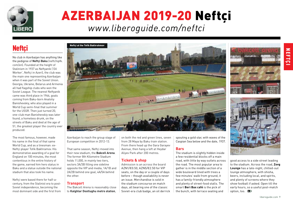<span id="page-9-0"></span>

# AZERBAIJAN 2019-20 Neftçi *[www.liberoguide.com/neftci](http://www.liberoguide.com/neftci)*

# Neftçi

No club in Azerbaijan has anything like the pedigree of **Neftçi Baku** (neftchipfk. com/en). Founded at the height of Stalinism in 1937 as Neftyanik ('Oil Worker', Neftçi in Azeri), the club was the main one representing Azerbaijan when it was part of the Soviet Union. Georgia, Ukraine, Belarus and Armenia all had flagship clubs who won the Soviet League. The nearest Neftyanik came was third place in 1966, goals coming from Baku-born Anatoliy Banishevskiy, who also played in a World Cup semi-final that summer for the USSR. Then just turned 20. one-club man Banishevskiy was later found, a homeless drunk, on the streets of Baku and died at the age of 51, the greatest player the country ever produced.

The most famous, however, made his name in the final of that same World Cup, and as a linesman: ex-Neftçi player Tofik Bakhramov. His demonstrative awarding of a goal for England on 100 minutes, the most contentious in the entire history of the game, earned him hero status in Baku and a statue outside the national stadium that also took his name.

Neftci were based there for half-acentury, from the Stalinist era to post-Soviet independence, becoming the most dominant side and the first from



good access to a side street leading

Azerbaijan to reach the group stage of European competition in 2012-13.

That same season, Neftci moved into their new stadium, the **Bakcell Arena**. The former 8th Kilometre Stadium holds 11,000, in mainly two tiers, sectors 3A/3B filling one sideline opposite the VIP and media, 1A/1B and 2A/2B behind one goal, 4A/5A behind the other.

### **Transport**

The Bakcell Arena is reasonably close to **Kalghlar Dostlughu metro station**,

on both the red and green lines, seven from 28 Maya by Baku train station. From there head up the Gara Garayev Avenue, then hang a left at Heydar Aliyev Park after 200 metres.

### **Tickets & shop**

Admission is an across the board AZN1/€0.50, AZN5/€2.50 for VIP seats, on the day or a couple of days before – though availability is never an issue. Merchandise is sold in the stadium concourse on match days, all bearing one of the classic Soviet-era club badge, an oil derrick spouting a gold star, with waves of the Caspian Sea below and the date, 1937.

### **Bars**

The stadium is slightly hidden inside a few residential blocks off a main road, with little by way outlets across the road. The most popular area to gather is in the middle section of a wide boulevard lined with trees a few minutes' walk from ground, it has a family-friendly atmosphere and plenty of street-food stalls. The smart **Beri Bax café** is the pick of the bunch, with terrace seating and

to the stadium. Across the road, **Zovg Lounge** has a late-night, chilled-out lounge atmosphere, with shisha, beers, including local, and spirits, and plenty of screens where they show football if asked. Open till the early hours, so a useful post-match option, too.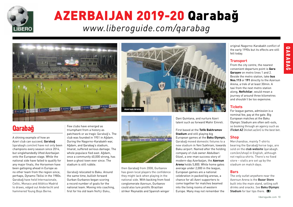<span id="page-10-0"></span>

# AZERBAIJAN 2019-20 Qarabağ *[www.liberoguide.com/qarabag](http://www.liberoguide.com/qarabag)*



# Qarabağ

A shining example of how an Azeri club can succeed, **Qarabağ** (qarabagh.com/en) have not only been champions every season since 2014, but singlehandedly lifted Azerbaijan onto the European stage. While the national side have failed to qualify for any major finals, the Horsemen have been galloping ahead in Europe as no other team from the region since, perhaps, Dynamo Tbilisi in the 1980s. Qarabağ have held Internazionale, Celtic, Monaco and Atlético Madrid to draws, edged out Anderlecht and hammered Young Boys Berne.

Few clubs have emerged as triumphant from a history as patchwork or as tragic Qarabağ's. The club was founded in 1951 in Ağdam. During the Nagorno-Karabakh war, Ağdam, and Qarabag's stadium, Imarat, suffered serious damage. The whole populace fled east. Ağdam, once a community 40,000 strong, has been a ghost town ever since. The stadium is still rubble.

Qarabağ relocated to Baku. Around the same time, bullish forward Gurban Gurbanov began scoring a record number of goals for the national team. Moving into coaching, first for his old team Neftçi Baku,





then Qarabağ from 2008, Gurbanov has given local players the confidence they might lack when playing in the national side. With backing from food conglomerate Azersun, Gurbanov could also lure prolific Brazilian striker Reynaldo and Spanish winger

Dani Quintana, and nurture Azeri talent such as forward Mahir Emreli.

First based at the **Tofik Bakhramov Stadium** and still playing big European games at the **Baku Olympic**, Qarabağ moved domestic fixtures to a new stadium in Yeni Sukhrani, towards Baku airport. Named after the holding company of club owner Abdulbari Gözel, a one-man success story of modern-day Azerbaijan, the **Azersun Arena** holds 5,800. While home gates average under 2,000 in the league, European games are a national celebration in packed big arenas, a chance for all Azeri supporters to come together for matches beamed into the living rooms of western Europe. Many may not remember the

original Nagorno-Karabakh conflict of the early 1990s but its effects are still felt today.

### **Transport**

From the city centre, the nearest convenient departure point is **Qara Qarayev** on metro lines 1 and 2. Beside the metro station, take **bus Nos.113** or **191** directly to the Azersun Arena, a trek of at least 30min. A taxi from the next metro station along, **Neftchilar**, would mean a journey of around three kilometres and shouldn't be too expensive.

### **Tickets**

For league games, admission is a nominal fee, pay at the gate. Big European matches at the Baku Olympic Stadium are often sell-outs, so booking through an agency such as **iTicket AZ** (iticket az/en) is the best bet.

### **Shop**

Merchandise, mainly T-shirts bearing the Qarabağ horse logo, are sold on the **club website** (qarabagh. com/en/shop) in English, although not replica shirts. There's no fixed store – stalls are set up by the stadium on match days.

### **Bars**

The only outlet anywhere near the Azersun Arena is the **Bazar Store** built into the main stand, selling soft drinks and snacks. *See* **Baku Olympic Stadium** for bar tips there. **B**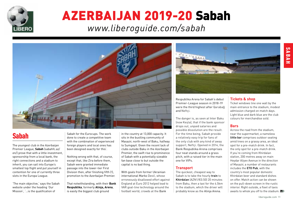<span id="page-11-0"></span>

# AZERBAIJAN 2019-20 Sabah

*[www.liberoguide.com/sabah](http://www.liberoguide.com/sabah)*



# Sabah

The youngest club in the Azerbaijan Premier League, **Sabah** (sabahfc.az/ en/) prove that with a little investment, sponsorship from a local bank, the right connections and a stadium to inherit, you can sail into Europe's smallest top flight and put yourself in contention for one of currently three slots in the Europa League.

'The main objective,' says the Sabah website under the heading 'Our Mission', '…is the qualification of

Sabah for the Eurocups. The work done to create a competitive team with the combination of experienced foreign players and local ones has been designed exactly for this'.

Nothing wrong with that, of course, except that, like Zira before them, Sabah were granted immediate passage into the lower-tier First Division then, after finishing fifth (!), promotion to the Azerbaijan Premier.

That notwithstanding, with their **Bank Respublika**, formerly **Alinja, Arena**,  $\frac{1}{2}$  is easily the biggest club ground

in the country at 13,000 capacity. It sits in the bustling community of Masazir, north-west of Baku, halfway to Sumgayit. Given the recent lack of clubs outside Baku in the Azerbaijan Premier, the swift rise to prominence of Sabah with a potentially sizeable fan base close to but outside the capital is no bad thing.

With goals from former Ukrainian international Marko Dević, whose erroneously disallowed effort against England at Euro 2012 helped lead to VAR goal-line technology around the  $\frac{1}{2}$  football world, crowds at the Bank



Respublika Arena for Sabah's debut Premier-League season in 2018-19 were the third highest after Qarabağ and Neftçi.

The danger is, as seen at Inter Baku (now Keşla), that if the bank sponsor drops out, unpaid salaries and possible dissolution are the result. For the time being, Sabah provide a relatively easy trip for fans of the only club with any kind of away support, Neftci. Opened in 2014, the Bank Respublika Arena comprises four neat stands around a grass pitch, with a raised tier in the main one for VIPs.

### **Transport**

The quickest, cheapest way to Sabah is to take the hourly **train** to **Khirdalan** (AZN1/€0.50) 20 minutes from Baku, then a taxi for the 4.5km to the stadium, which the driver will probably know as the Alinja Arena.

### **Tickets & shop**

Ticket windows line one wall by the main entrance to the stadium, modest admission charged on match days. Light blue and dark blue are the club colours for merchandise sold.

### **Bars**

Across the road from the stadium, near the supermarket, a nameless **little bar** comprises outdoor seating amid trees on a grassy area, an ideal spot for a pre-match drink. In fact, the only spot for a pre-match drink. If you're coming from Khirdalan station, 200 metres away on main Heydar Aliyev Avenue in the direction of Masazir, a number of restaurants includes the **ETO Pub**, with the country's most popular domestic Khirdalan beer and standard dishes on offer. Match action can be shown on the pull-down screen in the rustic interior. Right outside, a fleet of taxis awaits to whisk you off to the stadium.  $\Box$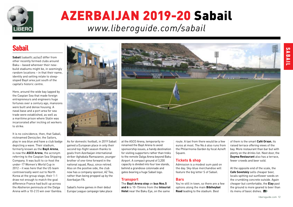<span id="page-12-0"></span>

# AZERBAIJAN 2019-20 Sabail *[www.liberoguide.com/sabail](http://www.liberoguide.com/sabail)*

### Sabail

**Sabail** (sabailfc.az/az/) differ from other recently formed clubs around Baku – based wherever their newbuild stadiums might be, in seemingly random locations – in that their name, identity and setting relate to steepsloped Bayil area just south of the capital's historic centre.

Here, around the wide bay lapped by the Caspian Sea that made foreign entrepreneurs and engineers huge fortunes over a century ago, mansions were built and dense housing. A naval base and a port area for sea trade were established, as well as a maritime prison where Stalin was incarcerated after inciting oil workers to strike.

It is no coincidence, then, that Sabail, nicknamed Denizçiler, the Sailors, play in sea blue and have a club badge depicting a wave. Their stadium, formerly known as the **Bayil Arena**, is now the **ASCO Arena**, the acronym referring to the Caspian Sea Shipping Company. It was built to co-host the under-17 Women's World Cup in 2012 – it was here that the US team controversially went out to North Korea at the group stage, their 1-1 draw not enough to match the goal difference France had built up across the Absheron peninsula at the Dalga Arena with a 10-2 (!) win over Gambia.





As for domestic football, in 2019 Sabail gained a European place in only their second top-flight season thanks to goals from Azerbaijan international striker Aghabala Ramazanov, younger brother of one-time forward in the national squad, Rauz, since retired. Also on the positive side, the club now has a company sponsor, AZ Tea, rather than being propped up by the Azerbaijan FA.

Sabail's home games in their debut Europa League campaign take place at the ASCO Arena, temporarily rerenamed the Bayil Arena to avoid sponsorship issues, a handy destination for visiting supporters rather than treks to the remote Dalga Arena beyond Baku Airport. A compact ground of 3,200 capacity is divided into four low stands, behind a grandiose colonnade and gates bearing a huge Sabail logo.

### **Transport**

The **Bayil Arena stop** on **bus Nos.5 and 6** is 10-15mins from the **Intourist Hotel** near the Baku Eye, on the same

route. A taxi from there would be a few euros at most. The No.6 also runs from the Philarmonia Garden by focal Azneft Square.

### **Tickets & shop**

Admission is a modest sum paid on the day. Sky-blue merchandise will feature the big letter S of Sabail.

#### **Bars**

You're still in town, so there are a few options along the main **Bibiheybat Road** leading to the stadium. Best

of them is the smart **Café Orxan**, its raised terrace offering views of the bay. More restaurant than bar but with plenty on the drinks list. Next door, the **Duyma Restaurant** also has a terrace, fewer crowds and beer sold.

At the opposite end of the scale, the **Cafe Sovetskiy** sells cheaper beer, locals spitting out sunflower seeds on the crumbling concrete outside. Again cheaper but comfortable, the **Elay** past the ground is more geared to beer than its menu of basic dishes.

liberoguide.com 12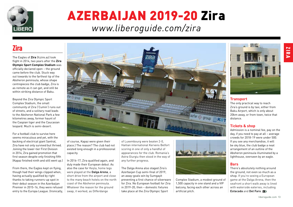<span id="page-13-0"></span>

# AZERBAIJAN 2019-20 Zira *[www.liberoguide.com/zira](http://www.liberoguide.com/zira)*

### Zira

The Eagles of **Zira** (fczire.az) took flight in 2014, two years after the **Zira Olympic Sport Complex Stadium** was officially declared open – the ground came before the club. Stuck way out towards to the farthest tip of the Absheron peninsula, whose shape centrepieces the club badge, Zira is as remote as it can get, and still be within striking distance of Baku.

Beyond the Zira Olympic Sport Complex Stadium, the small community of Zira ('Cumin') runs out of streets, and a solitary road leads to the Absheron National Park a few kilometres away, former haunt of the Caspian tiger and the Caucasian leopard. Much is semi-desert.

For a football club to survive here seems miraculous and yet, with the backing of electrical giant Santral, Zira have not only survived but thrived. Joining the lower-tier First Division in 2014, Zira gained promotion that first season despite only finishing fifth (Kapaz finished ninth and still went up.)

From there, the Eagles kept on flying, though had their wings clipped when, having actually qualified by right thanks to taking runners-up spot in their debut season in the Azerbaijan Premier in 2015-16, they were refused entry to the Europa League. (Ironically,



of course, Kapaz were given their place.) The reason? The club had not existed long enough in a professional capacity.

In 2016-17, Zira qualified again, and duly made their European debut. As also the case for Keşla, home legs were played at the **Dalga Arena**, a short drive from the airport and close to the many beach hotels on the north coast of the Absheron peninsula. Whatever the reason for the ground swap, it worked, as Differdange

of Luxembourg were beaten 2-0, Haitian international Kervens Belfort scoring in one of only a handful of appearances for the club. Romania's Astra Giurgiu then stood in the way of any further progress.

The Dalga Arena also staged Zira's Azerbaijan Cup semi-final of 2019, an away-goals win by Sumgayit preventing a first chance of silverware for Zira. No European football for Zira in 2019-20, then – domestic fixtures take place at the Zira Olympic Sport



Complex Stadium, a modest ground of 1,500 capacity in one stand and a VIP balcony, facing each other across an artificial pitch.



The only practical way to reach Zira's ground is by taxi, either from Baku Airport, which is only about 20km away, or from town, twice that distance.

### **Tickets & shop**

Admission is a nominal fee, pay on the day, if you need to pay at all – average crowds for 2018-19 were under 500. If you see any merchandise, it will be sky blue, the club badge a neat arrangement of an outline of the Absheron peninsula illuminated by a lighthouse, overseen by an eagle.

### **Bars**

There's absolutely nothing around the ground, not even so much as a shop. If you're seeing a European game at the Dalga Arena, then the seafront a short walk away is lined with waterside eateries, including **Estacada** and **Del Faro**.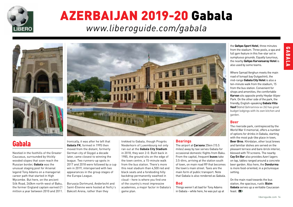<span id="page-14-0"></span>

# AZERBAIJAN 2019-20 Gabala *[www.liberoguide.com/gabala](http://www.liberoguide.com/gabala)*





### Gabala

Nestled in the foothills of the Greater Caucasus, surrounded by thickly wooded slopes that soon reach the Russian border, **Gabala** was the unusual staging post for Arsenal legend Tony Adams on a managerial career path that started in High Wycombe. But here, on the ancient Silk Road, 240km north-west of Baku, the former England captain earned £1 million a year between 2010 and 2011.



Ironically, it was after he left that **Gabala FK**, formed in 1995 then moved from the distant, formerly German city of Goygol a decade later, came closest to winning the league. Two runners-up spots in 2017 and 2018 were followed by a cup win in 2019, interspersed with two appearances in the group stages of the Europa League.

Borussia Dortmund, Anderlecht and Saint-Étienne were hosted at Neftçi's Bakcell Arena, rather than they

trekked to Gabala, though Progrès Niederkorn of Luxembourg not only ran out at the **Gabala City Stadium** in 2018, they won 2-0. Built back in 1985, the ground sits on the edge of the town centre, a 15-minute walk from the bus station. There's more this neat stadium than 4,500 red and black seats and a foreboding hilly backdrop permanently swathed in cloud – here is where you find one of the country's most impressive academies, a major factor in Gabala's game plan.

#### **Bearings**

The airport at **Çarxana** 25km (15.5 miles) away by taxi serves Gabala for occasional domestic flights from Baku. From the capital, frequent **buses** take 3.5-4hrs, arriving at the station south of town, on main road R9 that becomes the town's main street. Taxis are the main form of public transport. Note that Gabala is also rendered as Qabala.

#### **Bed**

Things weren't all bad for Tony Adams in Gabala – while here, he was put up at the nearby **Qafqas Karvansaray Hotel** is also used by some teams. Where Samad Verghun meets the main road of Ismayil bay Gutgashinli, the mid-range **Gabala City Hotel** is also a ten-minute walk from the stadium, 15 from the bus station. Convenient for shops and amenities, the comfortable **Karvan** sits opposite pretty Heydar Aliyev Park. On the other side of the park, the

the **Qafqas Sport Hotel**, three minutes from the stadium. Three pools, a spa and full gym feature in this five-star set in sumptuous grounds. Equally luxurious,

friendly, English-speaking **Gabala Villa Vasif** (Vahid Qehramnov ev 26) has great budget lodgings with its own kitchen and garden.

### **Beer**

The riverside park, centrepieced by the World War II memorial, offers a number of options for drinks in Gabala, starting with the most pub-like place in town, **Beer Bros**. Khirdalan, other local brews and familiar dishes are served on the pleasant terrace and bare-brick interior, blessed with TV screens. The nearby **Cay Evi Bar** also provides Azeri lagers on tap, tables ranged around a concrete beer garden. Also here, the **Dondurma** is more food-oriented, in a picturesque setting.

On the main road towards the bus station, the spacious, rustic **Bizim Gabala** serves up a veritable Caucasian feast. **NO**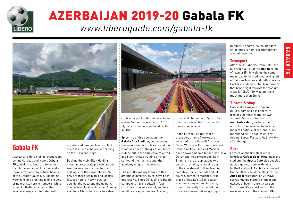<span id="page-15-0"></span>

# AZERBAIJAN 2019-20 Gabala FK

*[www.liberoguide.com/gabala-fk](http://www.liberoguide.com/gabala-fk)*



### Gabala FK

Azerbaijan's third club in recent years behind Qarabağ and Neftçi, **Gabala FK** (gabalafc.az/eng) are trying to match the ambition of its namesake town, surrounded by natural beauty of the Greater Caucasus. Spa hotels, waterfalls and stunning hiking routes bring tourists here in numbers, while young footballers trained at the local academy are integrated with

experienced foreign players to find success at home, before performing on the European stage.

Backing the club, Gilan Holding invest in large-scale projects around Azerbaijan, construction, tourism and logistics the cornerstones. Not only are there two high-end, sportsfocused hotels in town but, just outside, the Gabaland theme park. The decision to attract former Arsenal star Tony Adams here on a lucrative



contract is part of this wider scheme – after 16 months as coach in 2010- 11, he returned as sporting director in 2012.

Epicentre of this operation, the **Gabala City Stadium**, set between the town's eastern outskirts and the wooded slopes of the great outdoors, is done out in the club colours of red and black. Grass training pitches surround the main ground, the academy unique in Azerbaijan.

The results, mainly thanks to this ambitious infrastructure, have been impressive. Since 2013, six creditable campaigns have resulted in four cup finals, one successful, and five top-three league finishes. A strong

provincial challenge to Qarabağ's dominance is no bad thing for the game in Azerbaijan.

In the Europa League, more prestigious home fixtures are switched to the Bakcell Arena in Baku. Wins over European veterans Panathinaikos, Lille and Maribor have allowed Gabala to face Borussia Dortmund, Anderlecht and Saint-Étienne in the group stages two seasons running, recouping part of the investment in their training complex. Earlier rounds and, of course, domestic matches, take place at Gabala's 4,500-seater stadium, compact and intimate, though currently uncovered. Long distances mean that away support is

minimal, a shame, as the standard of facilities is high, accommodation around town too.

GABALA GABALA FK

 $\vec{z}$ 

### **Transport**

After the 3.5-4hr ride from Baku, the bus drops you at at the **station** south of town, a 15min walk up the same main road to the stadium, turning left at the New Mosque and Delhi-Karachi Darbar curryhouse into Elçin Karimov that bends right towards the stadium. A taxi (3AZN/€1.50) wouldn't take much more than 5mins.

### **Tickets & shop**

Unless it's a major European fixture, admission is generally free or a nominal manat or two at most. Gabala actually run a **match-day shop**, perhaps the only club in Azerbaijan to do so, a modest boutique of red-and-black merchandise. No copies of Tony Adams' *Sober: Football. My Story. My Life.,* though.

### **Bars**

Located on the first floor of the luxurious **Qafqas Sport Hotel** near the stadium, the **Sports Café** also doubles up as a games room, with table football and pool. Alcohol also served. On the other side of the stadium, the **Alma Baği** restaurant on 28 Maya serves hulking platters of meat and glasses of beer in a pretty garden. From here, it's a short walk to the main entrance of the stadium. **TO**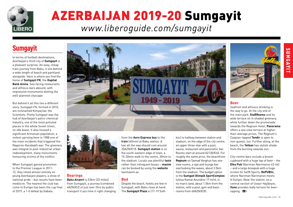<span id="page-16-0"></span>

# AZERBAIJAN 2019-20 Sumgayit *[www.liberoguide.com/sumgayit](http://www.liberoguide.com/sumgayit)*

# **Sumgayit**

In terms of football destinations, Azerbaijan's third city of **Sumgayit** is a pleasant surprise. An easy, cheap train journey from Baku, it sits behind a wide length of beach and parkland alongside. Here is where you find the home of **Sumgayit FK**, the **Kapital Bank Arena**. Sea-facing restaurants and alfresco bars abound, with impressive monuments dotting the well-planned cityscape.

But behind it all this lies a different story. Sumgayit FK, formed in 2010, are nicknamed Kimyaçilar, the Scientists. Pretty Sumgayit was the hub of Azerbaijan's petro-chemical industry, one of the most polluted places in the whole Soviet Union, no idle boast. It also housed a significant Armenian population, a violent uprising here in 1988 one of the main incidents that triggered the Nagorno-Karabakh war. The greenery was integral to post-industrial urban redevelopment, many monuments honouring victims of the conflict.

When Sumgayit gained promotion to the Premier League in 2011- 12, they relied almost entirely on young Azerbaijani players, a show of national pride – but results have been mediocre. The nearest the club has come to Europe has been the cup final of 2019, a 1-0 defeat by Gabala.



### **Beer**

Seafront and alfresco drinking is the way to go. At the city end of the main park, **StaRRooms** and its wide terrace sit in shaded greenery, while further down the promenade towards the Regnum Hotel, **Panorama** offers a sea-view terrace at higherthan-average prices. The Regnum's Caspian-lapped **Tandir** is open to non-guests, too. Further along, at the beach, the **Yelkan** has stylish shade from the burning seaside sun.

City-centre bars include a broom cupboard with a huge tap of beer – the **Efes Pub** (Nariman Narimanov 42-44) – and a large brewpub with a huge screen for beIN Sports, **RePUBlic**, where Nariman Narimanov meets A Guliyev. Near the station, on a central section of Uzeyir Hajibeyov, **Xane** provides leafy terrace for beersipping.  $\Box$ 

from the **Aero Express bus** to the

### **Bearings**

**Baku Airport** is 53km (33 miles) from Sumgayit, a journey (combined 4AZN/€2) of just over 2hrs by public transport if you time it right changing **train** (40min) at Baku station. A taxi all the way should cost around 35AZN/€18. **Sumgayit station** is on the south-eastern edge of town, a 15-20min walk to the centre, 30min to the stadium. Locals use plentiful **taxis** rather than infrequent buses – **maxim** can be booked by using the **website** taximaxim.az.

### **Bed**

Despite the beach, hotels are few in Sumgayit, with Baku close at hand. The **Sumgayit Plaza** is (17-19 Süth

küc) is halfway between station and stadium, on the edge of the city centre, an upper three-star with a pool, sauna, restaurant and panoramic bar. Rooms start at around AZ130/€65. For roughly the same price, the beachfront **Regnum** on Samad Verghun has seaview rooms, a spa and lounge bar overlooking the waves, about 3.5km from the stadium. The budget option is the **Sumgait Olimpik SportComplex** (ulitsa Kamal Axundrov 17 m/n), in no man's land, about 1.5km from the station, with a pool, gym and basic rooms from 60AZN/€30.